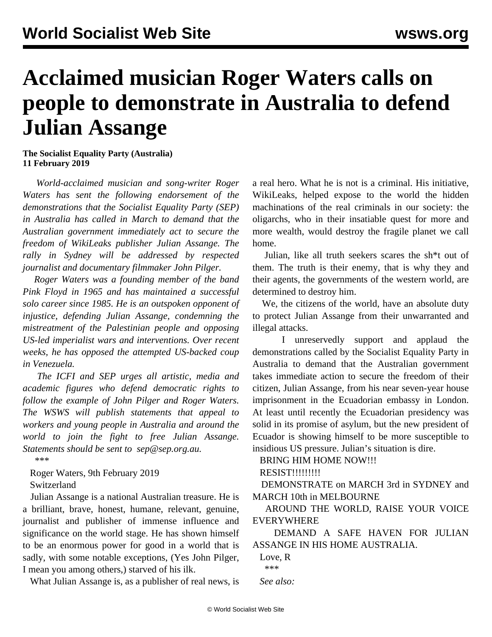## **Acclaimed musician Roger Waters calls on people to demonstrate in Australia to defend Julian Assange**

**The Socialist Equality Party (Australia) 11 February 2019**

 *World-acclaimed musician and song-writer Roger Waters has sent the following endorsement of the demonstrations that the Socialist Equality Party (SEP) in Australia has called in March to demand that the Australian government immediately act to secure the freedom of WikiLeaks publisher Julian Assange. The rally in Sydney will be addressed by respected journalist and documentary filmmaker John Pilger.*

 *Roger Waters was a founding member of the band Pink Floyd in 1965 and has maintained a successful solo career since 1985. He is an outspoken opponent of injustice, defending Julian Assange, condemning the mistreatment of the Palestinian people and opposing US-led imperialist wars and interventions. Over recent weeks, he has opposed the attempted US-backed coup in Venezuela.*

 *The ICFI and SEP urges all artistic, media and academic figures who defend democratic rights to follow the example of John Pilger and Roger Waters. The WSWS will publish statements that appeal to workers and young people in Australia and around the world to join the fight to free Julian Assange. Statements should be sent to [sep@sep.org.au](mailto:sep@sep.org.au).*

\*\*\*

 Roger Waters, 9th February 2019 Switzerland

 Julian Assange is a national Australian treasure. He is a brilliant, brave, honest, humane, relevant, genuine, journalist and publisher of immense influence and significance on the world stage. He has shown himself to be an enormous power for good in a world that is sadly, with some notable exceptions, (Yes John Pilger, I mean you among others,) starved of his ilk.

What Julian Assange is, as a publisher of real news, is

a real hero. What he is not is a criminal. His initiative, WikiLeaks, helped expose to the world the hidden machinations of the real criminals in our society: the oligarchs, who in their insatiable quest for more and more wealth, would destroy the fragile planet we call home.

 Julian, like all truth seekers scares the sh\*t out of them. The truth is their enemy, that is why they and their agents, the governments of the western world, are determined to destroy him.

 We, the citizens of the world, have an absolute duty to protect Julian Assange from their unwarranted and illegal attacks.

 I unreservedly support and applaud the demonstrations called by the Socialist Equality Party in Australia to demand that the Australian government takes immediate action to secure the freedom of their citizen, Julian Assange, from his near seven-year house imprisonment in the Ecuadorian embassy in London. At least until recently the Ecuadorian presidency was solid in its promise of asylum, but the new president of Ecuador is showing himself to be more susceptible to insidious US pressure. Julian's situation is dire.

BRING HIM HOME NOW!!!

RESIST!!!!!!!!!

 DEMONSTRATE on MARCH 3rd in SYDNEY and MARCH 10th in MELBOURNE

 AROUND THE WORLD, RAISE YOUR VOICE EVERYWHERE

 DEMAND A SAFE HAVEN FOR JULIAN ASSANGE IN HIS HOME AUSTRALIA.

 Love, R \*\*\* *See also:*

© World Socialist Web Site